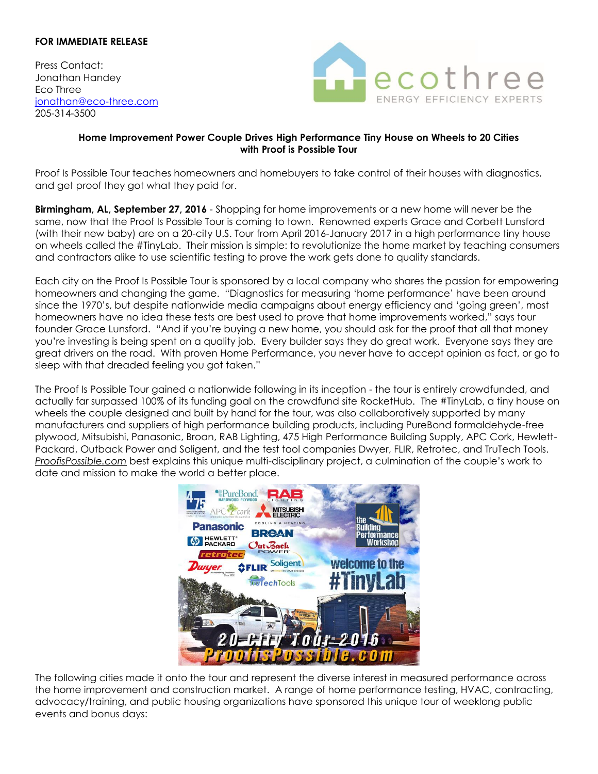## **FOR IMMEDIATE RELEASE**

Press Contact: Jonathan Handey Eco Three [jonathan@eco-three.com](mailto:jonathan@eco-three.com) 205-314-3500



## **Home Improvement Power Couple Drives High Performance Tiny House on Wheels to 20 Cities with Proof is Possible Tour**

Proof Is Possible Tour teaches homeowners and homebuyers to take control of their houses with diagnostics, and get proof they got what they paid for.

**Birmingham, AL, September 27, 2016** - Shopping for home improvements or a new home will never be the same, now that the Proof Is Possible Tour is coming to town. Renowned experts Grace and Corbett Lunsford (with their new baby) are on a 20-city U.S. Tour from April 2016-January 2017 in a high performance tiny house on wheels called the #TinyLab. Their mission is simple: to revolutionize the home market by teaching consumers and contractors alike to use scientific testing to prove the work gets done to quality standards.

Each city on the Proof Is Possible Tour is sponsored by a local company who shares the passion for empowering homeowners and changing the game. "Diagnostics for measuring 'home performance' have been around since the 1970's, but despite nationwide media campaigns about energy efficiency and 'going green', most homeowners have no idea these tests are best used to prove that home improvements worked," says tour founder Grace Lunsford. "And if you're buying a new home, you should ask for the proof that all that money you're investing is being spent on a quality job. Every builder says they do great work. Everyone says they are great drivers on the road. With proven Home Performance, you never have to accept opinion as fact, or go to sleep with that dreaded feeling you got taken."

The Proof Is Possible Tour gained a nationwide following in its inception - the tour is entirely crowdfunded, and actually far surpassed 100% of its funding goal on the crowdfund site RocketHub. The #TinyLab, a tiny house on wheels the couple designed and built by hand for the tour, was also collaboratively supported by many manufacturers and suppliers of high performance building products, including PureBond formaldehyde-free plywood, Mitsubishi, Panasonic, Broan, RAB Lighting, 475 High Performance Building Supply, APC Cork, Hewlett-Packard, Outback Power and Soligent, and the test tool companies Dwyer, FLIR, Retrotec, and TruTech Tools. *ProofisPossible.com* best explains this unique multi-disciplinary project, a culmination of the couple's work to date and mission to make the world a better place.



The following cities made it onto the tour and represent the diverse interest in measured performance across the home improvement and construction market. A range of home performance testing, HVAC, contracting, advocacy/training, and public housing organizations have sponsored this unique tour of weeklong public events and bonus days: